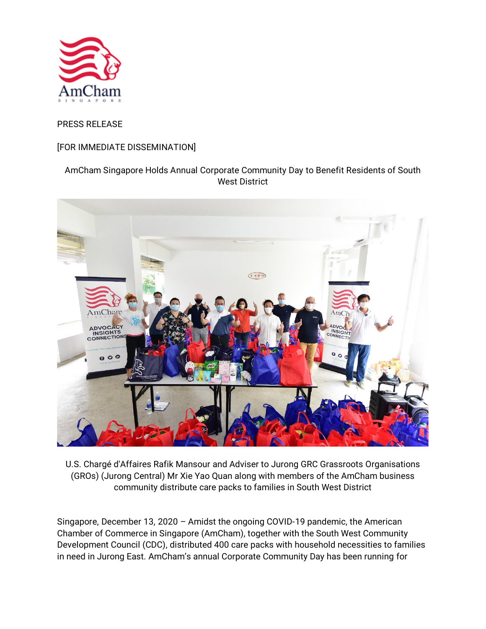

## PRESS RELEASE

## [FOR IMMEDIATE DISSEMINATION]

# AmCham Singapore Holds Annual Corporate Community Day to Benefit Residents of South West District



U.S. Chargé d'Affaires Rafik Mansour and Adviser to Jurong GRC Grassroots Organisations (GROs) (Jurong Central) Mr Xie Yao Quan along with members of the AmCham business community distribute care packs to families in South West District

Singapore, December 13, 2020 – Amidst the ongoing COVID-19 pandemic, the American Chamber of Commerce in Singapore (AmCham), together with the South West Community Development Council (CDC), distributed 400 care packs with household necessities to families in need in Jurong East. AmCham's annual Corporate Community Day has been running for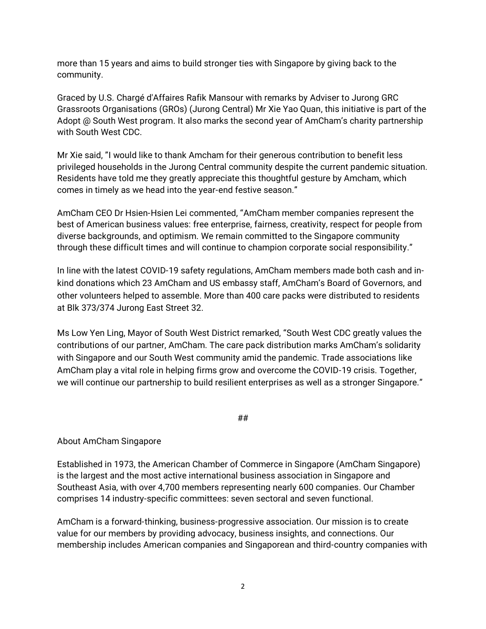more than 15 years and aims to build stronger ties with Singapore by giving back to the community.

Graced by U.S. Chargé d'Affaires Rafik Mansour with remarks by Adviser to Jurong GRC Grassroots Organisations (GROs) (Jurong Central) Mr Xie Yao Quan, this initiative is part of the Adopt @ South West program. It also marks the second year of AmCham's charity partnership with South West CDC.

Mr Xie said, "I would like to thank Amcham for their generous contribution to benefit less privileged households in the Jurong Central community despite the current pandemic situation. Residents have told me they greatly appreciate this thoughtful gesture by Amcham, which comes in timely as we head into the year-end festive season."

AmCham CEO Dr Hsien-Hsien Lei commented, "AmCham member companies represent the best of American business values: free enterprise, fairness, creativity, respect for people from diverse backgrounds, and optimism. We remain committed to the Singapore community through these difficult times and will continue to champion corporate social responsibility."

In line with the latest COVID-19 safety regulations, AmCham members made both cash and inkind donations which 23 AmCham and US embassy staff, AmCham's Board of Governors, and other volunteers helped to assemble. More than 400 care packs were distributed to residents at Blk 373/374 Jurong East Street 32.

Ms Low Yen Ling, Mayor of South West District remarked, "South West CDC greatly values the contributions of our partner, AmCham. The care pack distribution marks AmCham's solidarity with Singapore and our South West community amid the pandemic. Trade associations like AmCham play a vital role in helping firms grow and overcome the COVID-19 crisis. Together, we will continue our partnership to build resilient enterprises as well as a stronger Singapore."

##

### About AmCham Singapore

Established in 1973, the American Chamber of Commerce in Singapore (AmCham Singapore) is the largest and the most active international business association in Singapore and Southeast Asia, with over 4,700 members representing nearly 600 companies. Our Chamber comprises 14 industry-specific committees: seven sectoral and seven functional.

AmCham is a forward-thinking, business-progressive association. Our mission is to create value for our members by providing advocacy, business insights, and connections. Our membership includes American companies and Singaporean and third-country companies with